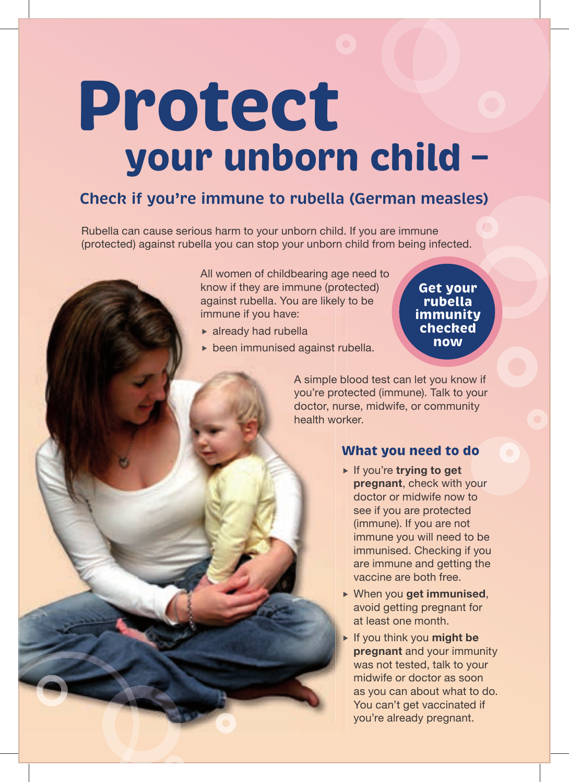# **Protect your unborn child –**

### **Check if you're immune to rubella (German measles)**

Rubella can cause serious harm to your unborn child. If you are immune (protected) against rubella you can stop your unborn child from being infected.

> All women of childbearing age need to know if they are immune (protected) against rubella. You are likely to be immune if you have:

- already had rubella
- been immunised against rubella.

**Get your rubella immunity checked now**

A simple blood test can let you know if you're protected (immune). Talk to your doctor, nurse, midwife, or community health worker.

#### **What you need to do**

- ► If you're **trying to get pregnant**, check with your doctor or midwife now to see if you are protected (immune). If you are not immune you will need to be immunised. Checking if you are immune and getting the vaccine are both free.
- When you **get immunised**, avoid getting pregnant for at least one month.
- If you think you **might be pregnant** and your immunity was not tested, talk to your midwife or doctor as soon as you can about what to do. You can't get vaccinated if you're already pregnant.